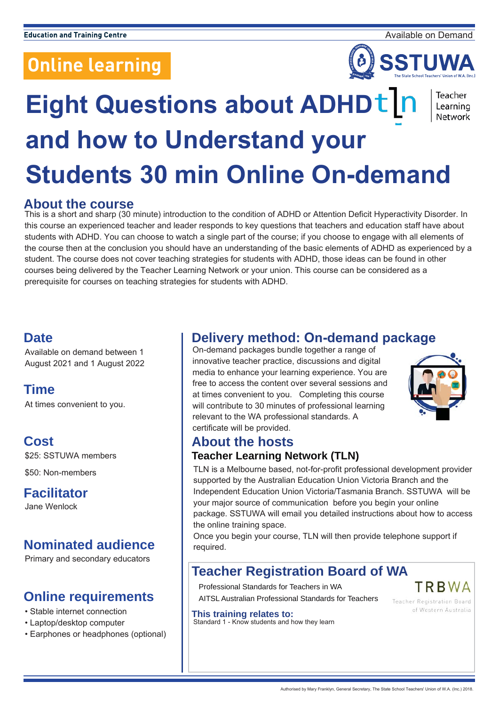# **Online learning**



Teacher Learning Network

# **Eight Questions about ADHDt |r and how to Understand your Students 30 min Online On-demand**

#### **About the course**

This is a short and sharp (30 minute) introduction to the condition of ADHD or Attention Deficit Hyperactivity Disorder. In this course an experienced teacher and leader responds to key questions that teachers and education staff have about students with ADHD. You can choose to watch a single part of the course; if you choose to engage with all elements of the course then at the conclusion you should have an understanding of the basic elements of ADHD as experienced by a student. The course does not cover teaching strategies for students with ADHD, those ideas can be found in other courses being delivered by the Teacher Learning Network or your union. This course can be considered as a prerequisite for courses on teaching strategies for students with ADHD.

#### **Date**

Available on demand between 1 August 2021 and 1 August 2022

### **Time**

At times convenient to you.

#### **Cost**

\$25: SSTUWA members

\$50: Non-members

### **Facilitator**

Jane Wenlock

## **Nominated audience**

Primary and secondary educators

#### **Online requirements**

- Stable internet connection
- Laptop/desktop computer
- Earphones or headphones (optional)

### **Delivery method: On-demand package**

On-demand packages bundle together a range of innovative teacher practice, discussions and digital media to enhance your learning experience. You are free to access the content over several sessions and at times convenient to you. Completing this course will contribute to 30 minutes of professional learning relevant to the WA professional standards. A certificate will be provided.



TRBWA

## **About the hosts**

#### **Teacher Learning Network (TLN)**

TLN is a Melbourne based, not-for-profit professional development provider supported by the Australian Education Union Victoria Branch and the Independent Education Union Victoria/Tasmania Branch. SSTUWA will be your major source of communication before you begin your online package. SSTUWA will email you detailed instructions about how to access the online training space.

Once you begin your course, TLN will then provide telephone support if required.

### **Teacher Registration Board of WA**

Professional Standards for Teachers in WA

AITSL Australian Professional Standards for Teachers

**Teacher Registration Board** of Western Australia